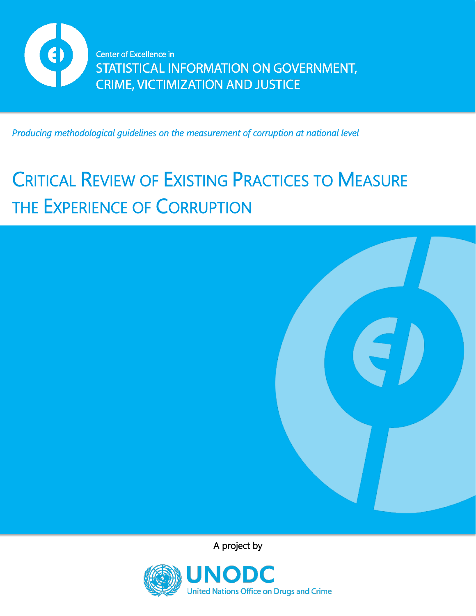

*Producing methodological guidelines on the measurement of corruption at national level* 

# CRITICAL REVIEW OF EXISTING PRACTICES TO MEASURE THE EXPERIENCE OF CORRUPTION



A project by

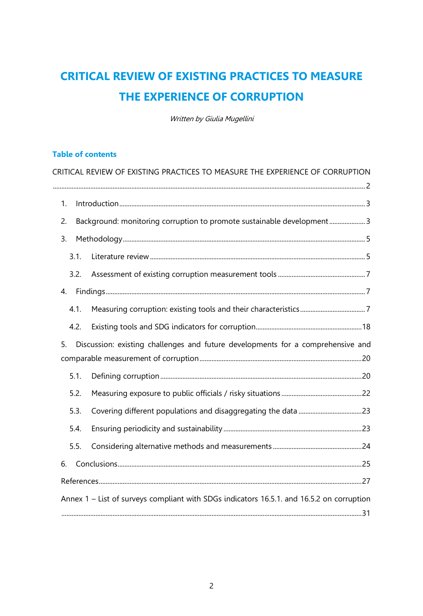## <span id="page-1-0"></span>**CRITICAL REVIEW OF EXISTING PRACTICES TO MEASURE THE EXPERIENCE OF CORRUPTION**

Written by Giulia Mugellini

#### **Table of contents**

| CRITICAL REVIEW OF EXISTING PRACTICES TO MEASURE THE EXPERIENCE OF CORRUPTION             |  |
|-------------------------------------------------------------------------------------------|--|
|                                                                                           |  |
| 1.                                                                                        |  |
| Background: monitoring corruption to promote sustainable development3<br>2.               |  |
| 3.                                                                                        |  |
| 3.1.                                                                                      |  |
| 3.2.                                                                                      |  |
| 4.                                                                                        |  |
| 4.1.                                                                                      |  |
| 4.2.                                                                                      |  |
| Discussion: existing challenges and future developments for a comprehensive and<br>5.     |  |
|                                                                                           |  |
| 5.1.                                                                                      |  |
| 5.2.                                                                                      |  |
| 5.3.                                                                                      |  |
| 5.4.                                                                                      |  |
| 5.5.                                                                                      |  |
| 6.                                                                                        |  |
|                                                                                           |  |
| Annex 1 - List of surveys compliant with SDGs indicators 16.5.1. and 16.5.2 on corruption |  |
|                                                                                           |  |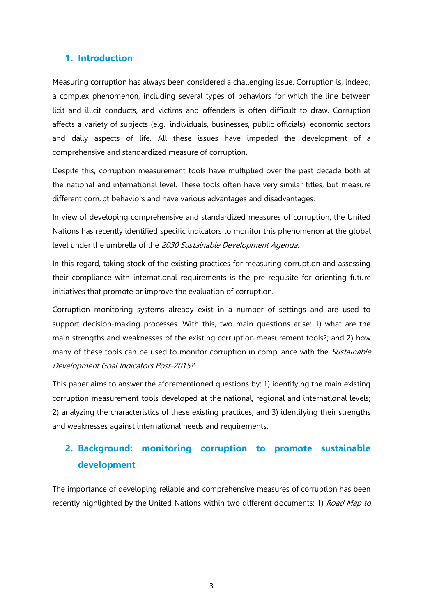## <span id="page-2-0"></span>**1. Introduction**

Measuring corruption has always been considered a challenging issue. Corruption is, indeed, a complex phenomenon, including several types of behaviors for which the line between licit and illicit conducts, and victims and offenders is often difficult to draw. Corruption affects a variety of subjects (e.g., individuals, businesses, public officials), economic sectors and daily aspects of life. All these issues have impeded the development of a comprehensive and standardized measure of corruption.

Despite this, corruption measurement tools have multiplied over the past decade both at the national and international level. These tools often have very similar titles, but measure different corrupt behaviors and have various advantages and disadvantages.

In view of developing comprehensive and standardized measures of corruption, the United Nations has recently identified specific indicators to monitor this phenomenon at the global level under the umbrella of the 2030 Sustainable Development Agenda.

In this regard, taking stock of the existing practices for measuring corruption and assessing their compliance with international requirements is the pre-requisite for orienting future initiatives that promote or improve the evaluation of corruption.

Corruption monitoring systems already exist in a number of settings and are used to support decision-making processes. With this, two main questions arise: 1) what are the main strengths and weaknesses of the existing corruption measurement tools?; and 2) how many of these tools can be used to monitor corruption in compliance with the *Sustainable* Development Goal Indicators Post-2015?

This paper aims to answer the aforementioned questions by: 1) identifying the main existing corruption measurement tools developed at the national, regional and international levels; 2) analyzing the characteristics of these existing practices, and 3) identifying their strengths and weaknesses against international needs and requirements.

## <span id="page-2-1"></span>**2. Background: monitoring corruption to promote sustainable development**

The importance of developing reliable and comprehensive measures of corruption has been recently highlighted by the United Nations within two different documents: 1) Road Map to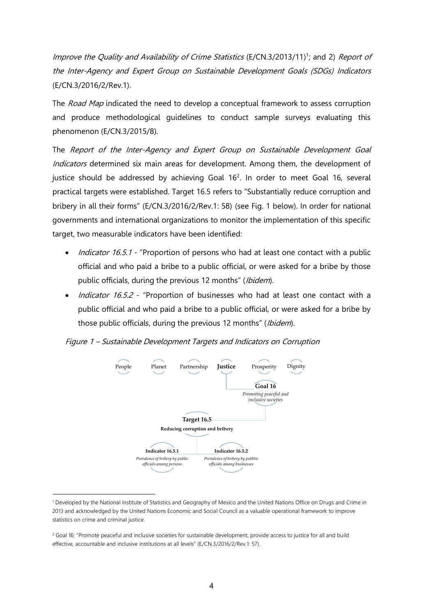Improve the Quality and Availability of Crime Statistics (E/CN.3/2013/11)<sup>1</sup>; and 2) Report of the Inter-Agency and Expert Group on Sustainable Development Goals (SDGs) Indicators (E/CN.3/2016/2/Rev.1).

The *Road Map* indicated the need to develop a conceptual framework to assess corruption and produce methodological guidelines to conduct sample surveys evaluating this phenomenon (E/CN.3/2015/8).

The Report of the Inter-Agency and Expert Group on Sustainable Development Goal Indicators determined six main areas for development. Among them, the development of justice should be addressed by achieving Goal  $16<sup>2</sup>$ . In order to meet Goal 16, several practical targets were established. Target 16.5 refers to "Substantially reduce corruption and bribery in all their forms" (E/CN.3/2016/2/Rev.1: 58) (see Fig. 1 below). In order for national governments and international organizations to monitor the implementation of this specific target, two measurable indicators have been identified:

- *Indicator 16.5.1* "Proportion of persons who had at least one contact with a public official and who paid a bribe to a public official, or were asked for a bribe by those public officials, during the previous 12 months" (Ibidem).
- *Indicator 16.5.2* "Proportion of businesses who had at least one contact with a public official and who paid a bribe to a public official, or were asked for a bribe by those public officials, during the previous 12 months" (Ibidem).





<sup>1</sup> Developed by the National Institute of Statistics and Geography of Mexico and the United Nations Office on Drugs and Crime in 2013 and acknowledged by the United Nations Economic and Social Council as a valuable operational framework to improve statistics on crime and criminal justice.

 $\overline{a}$ 

<sup>&</sup>lt;sup>2</sup> Goal 16: "Promote peaceful and inclusive societies for sustainable development, provide access to justice for all and build effective, accountable and inclusive institutions at all levels" (E/CN.3/2016/2/Rev.1: 57).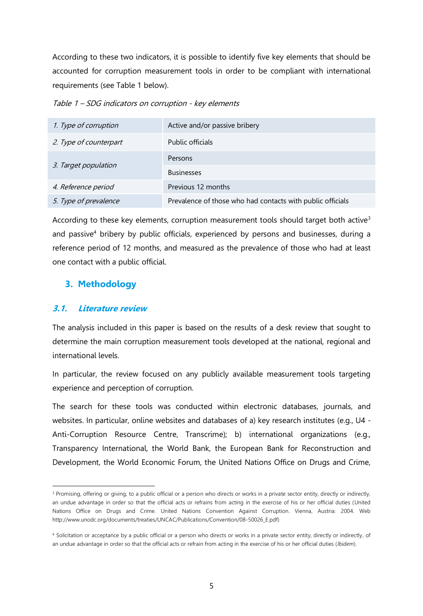According to these two indicators, it is possible to identify five key elements that should be accounted for corruption measurement tools in order to be compliant with international requirements (see Table 1 below).

Table 1 – SDG indicators on corruption - key elements

| 1. Type of corruption  | Active and/or passive bribery                              |
|------------------------|------------------------------------------------------------|
| 2. Type of counterpart | Public officials                                           |
|                        | Persons                                                    |
| 3. Target population   | <b>Businesses</b>                                          |
| 4. Reference period    | Previous 12 months                                         |
| 5. Type of prevalence  | Prevalence of those who had contacts with public officials |

According to these key elements, corruption measurement tools should target both active<sup>3</sup> and passive<sup>4</sup> bribery by public officials, experienced by persons and businesses, during a reference period of 12 months, and measured as the prevalence of those who had at least one contact with a public official.

## <span id="page-4-0"></span>**3. Methodology**

## <span id="page-4-1"></span>**3.1. Literature review**

 $\overline{a}$ 

The analysis included in this paper is based on the results of a desk review that sought to determine the main corruption measurement tools developed at the national, regional and international levels.

In particular, the review focused on any publicly available measurement tools targeting experience and perception of corruption.

The search for these tools was conducted within electronic databases, journals, and websites. In particular, online websites and databases of a) key research institutes (e.g., U4 - Anti-Corruption Resource Centre, Transcrime); b) international organizations (e.g., Transparency International, the World Bank, the European Bank for Reconstruction and Development, the World Economic Forum, the United Nations Office on Drugs and Crime,

<sup>&</sup>lt;sup>3</sup> Promising, offering or giving, to a public official or a person who directs or works in a private sector entity, directly or indirectly, an undue advantage in order so that the official acts or refrains from acting in the exercise of his or her official duties (United Nations Office on Drugs and Crime. United Nations Convention Against Corruption. Vienna, Austria: 2004. Web [http://www.unodc.org/documents/treaties/UNCAC/Publications/Convention/08-50026\\_E.pdf\)](http://www.unodc.org/documents/treaties/UNCAC/Publications/Convention/08-50026_E.pdf)

<sup>4</sup> Solicitation or acceptance by a public official or a person who directs or works in a private sector entity, directly or indirectly, of an undue advantage in order so that the official acts or refrain from acting in the exercise of his or her official duties (*Ibidem*).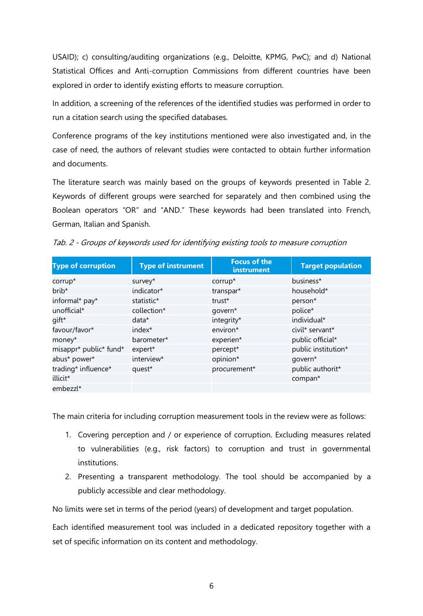USAID); c) consulting/auditing organizations (e.g., Deloitte, KPMG, PwC); and d) National Statistical Offices and Anti-corruption Commissions from different countries have been explored in order to identify existing efforts to measure corruption.

In addition, a screening of the references of the identified studies was performed in order to run a citation search using the specified databases.

Conference programs of the key institutions mentioned were also investigated and, in the case of need, the authors of relevant studies were contacted to obtain further information and documents.

The literature search was mainly based on the groups of keywords presented in Table 2. Keywords of different groups were searched for separately and then combined using the Boolean operators "OR" and "AND." These keywords had been translated into French, German, Italian and Spanish.

|  |  |  |  |  |  | Tab. 2 - Groups of keywords used for identifying existing tools to measure corruption |  |
|--|--|--|--|--|--|---------------------------------------------------------------------------------------|--|
|  |  |  |  |  |  |                                                                                       |  |
|  |  |  |  |  |  |                                                                                       |  |
|  |  |  |  |  |  |                                                                                       |  |

| <b>Type of corruption</b> | <b>Type of instrument</b> | <b>Focus of the</b><br>instrument | <b>Target population</b> |
|---------------------------|---------------------------|-----------------------------------|--------------------------|
| corrup*                   | survey*                   | corrup*                           | business*                |
| brib*                     | indicator*                | transpar*                         | household*               |
| informal* pay*            | statistic*                | trust*                            | person*                  |
| unofficial*               | collection*               | govern*                           | police*                  |
| gift*                     | $data*$                   | integrity*                        | individual*              |
| favour/favor*             | index <sup>*</sup>        | environ*                          | civil* servant*          |
| money*                    | barometer*                | experien*                         | public official*         |
| misappr* public* fund*    | expert*                   | percept*                          | public institution*      |
| abus* power*              | interview*                | opinion*                          | govern*                  |
| trading* influence*       | quest*                    | procurement*                      | public authorit*         |
| illicit*                  |                           |                                   | compan*                  |
| embezzl*                  |                           |                                   |                          |

The main criteria for including corruption measurement tools in the review were as follows:

- 1. Covering perception and / or experience of corruption. Excluding measures related to vulnerabilities (e.g., risk factors) to corruption and trust in governmental institutions.
- 2. Presenting a transparent methodology. The tool should be accompanied by a publicly accessible and clear methodology.

No limits were set in terms of the period (years) of development and target population.

Each identified measurement tool was included in a dedicated repository together with a set of specific information on its content and methodology.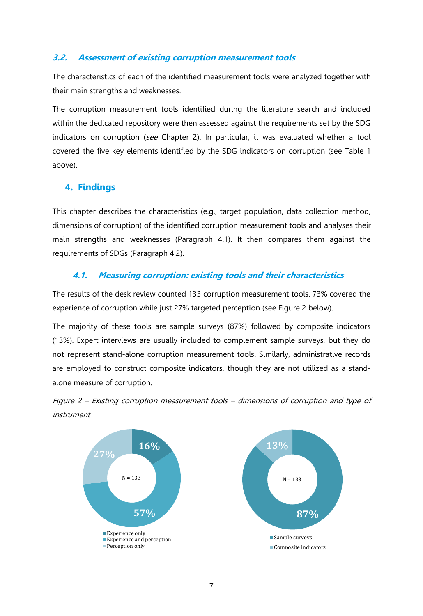## <span id="page-6-0"></span>**3.2. Assessment of existing corruption measurement tools**

The characteristics of each of the identified measurement tools were analyzed together with their main strengths and weaknesses.

The corruption measurement tools identified during the literature search and included within the dedicated repository were then assessed against the requirements set by the SDG indicators on corruption (see Chapter 2). In particular, it was evaluated whether a tool covered the five key elements identified by the SDG indicators on corruption (see Table 1 above).

## <span id="page-6-1"></span>**4. Findings**

This chapter describes the characteristics (e.g., target population, data collection method, dimensions of corruption) of the identified corruption measurement tools and analyses their main strengths and weaknesses (Paragraph 4.1). It then compares them against the requirements of SDGs (Paragraph 4.2).

## <span id="page-6-2"></span>**4.1. Measuring corruption: existing tools and their characteristics**

The results of the desk review counted 133 corruption measurement tools. 73% covered the experience of corruption while just 27% targeted perception (see Figure 2 below).

The majority of these tools are sample surveys (87%) followed by composite indicators (13%). Expert interviews are usually included to complement sample surveys, but they do not represent stand-alone corruption measurement tools. Similarly, administrative records are employed to construct composite indicators, though they are not utilized as a standalone measure of corruption.



Figure 2 – Existing corruption measurement tools – dimensions of corruption and type of instrument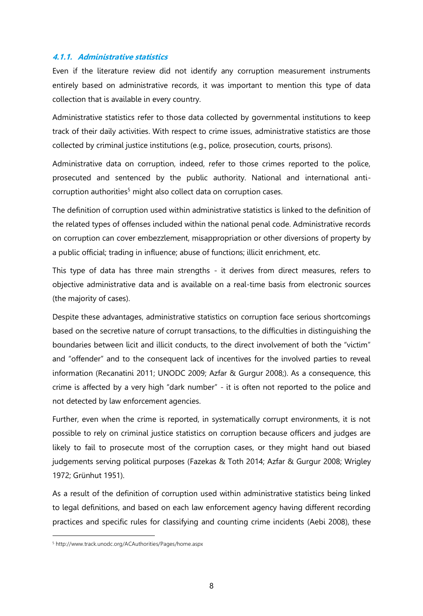#### **4.1.1. Administrative statistics**

Even if the literature review did not identify any corruption measurement instruments entirely based on administrative records, it was important to mention this type of data collection that is available in every country.

Administrative statistics refer to those data collected by governmental institutions to keep track of their daily activities. With respect to crime issues, administrative statistics are those collected by criminal justice institutions (e.g., police, prosecution, courts, prisons).

Administrative data on corruption, indeed, refer to those crimes reported to the police, prosecuted and sentenced by the public authority. National and international anticorruption authorities<sup>5</sup> might also collect data on corruption cases.

The definition of corruption used within administrative statistics is linked to the definition of the related types of offenses included within the national penal code. Administrative records on corruption can cover embezzlement, misappropriation or other diversions of property by a public official; trading in influence; abuse of functions; illicit enrichment, etc.

This type of data has three main strengths - it derives from direct measures, refers to objective administrative data and is available on a real-time basis from electronic sources (the majority of cases).

Despite these advantages, administrative statistics on corruption face serious shortcomings based on the secretive nature of corrupt transactions, to the difficulties in distinguishing the boundaries between licit and illicit conducts, to the direct involvement of both the "victim" and "offender" and to the consequent lack of incentives for the involved parties to reveal information (Recanatini 2011; UNODC 2009; Azfar & Gurgur 2008;). As a consequence, this crime is affected by a very high "dark number" - it is often not reported to the police and not detected by law enforcement agencies.

Further, even when the crime is reported, in systematically corrupt environments, it is not possible to rely on criminal justice statistics on corruption because officers and judges are likely to fail to prosecute most of the corruption cases, or they might hand out biased judgements serving political purposes (Fazekas & Toth 2014; Azfar & Gurgur 2008; Wrigley 1972; Grünhut 1951).

As a result of the definition of corruption used within administrative statistics being linked to legal definitions, and based on each law enforcement agency having different recording practices and specific rules for classifying and counting crime incidents (Aebi 2008), these

<sup>5</sup> http://www.track.unodc.org/ACAuthorities/Pages/home.aspx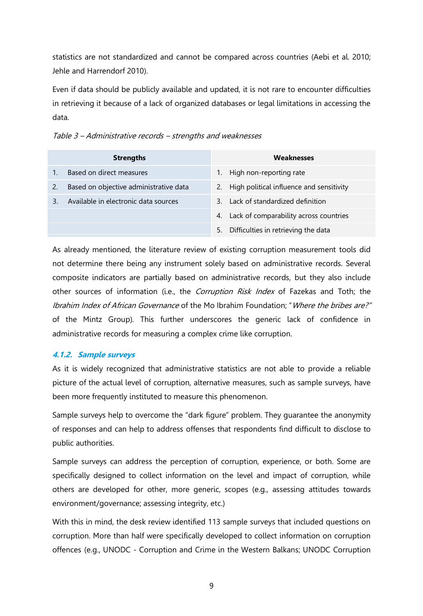statistics are not standardized and cannot be compared across countries (Aebi et al. 2010; Jehle and Harrendorf 2010).

Even if data should be publicly available and updated, it is not rare to encounter difficulties in retrieving it because of a lack of organized databases or legal limitations in accessing the data.

|    | <b>Strengths</b>                       | Weaknesses                                  |
|----|----------------------------------------|---------------------------------------------|
|    | Based on direct measures               | High non-reporting rate                     |
| 2. | Based on objective administrative data | 2. High political influence and sensitivity |
|    | Available in electronic data sources   | Lack of standardized definition<br>3        |
|    |                                        | 4. Lack of comparability across countries   |
|    |                                        | Difficulties in retrieving the data<br>5.   |

Table 3 – Administrative records – strengths and weaknesses

As already mentioned, the literature review of existing corruption measurement tools did not determine there being any instrument solely based on administrative records. Several composite indicators are partially based on administrative records, but they also include other sources of information (i.e., the *Corruption Risk Index* of Fazekas and Toth; the Ibrahim Index of African Governance of the Mo Ibrahim Foundation; "Where the bribes are?" of the Mintz Group). This further underscores the generic lack of confidence in administrative records for measuring a complex crime like corruption.

#### **4.1.2. Sample surveys**

As it is widely recognized that administrative statistics are not able to provide a reliable picture of the actual level of corruption, alternative measures, such as sample surveys, have been more frequently instituted to measure this phenomenon.

Sample surveys help to overcome the "dark figure" problem. They guarantee the anonymity of responses and can help to address offenses that respondents find difficult to disclose to public authorities.

Sample surveys can address the perception of corruption, experience, or both. Some are specifically designed to collect information on the level and impact of corruption, while others are developed for other, more generic, scopes (e.g., assessing attitudes towards environment/governance; assessing integrity, etc.)

With this in mind, the desk review identified 113 sample surveys that included questions on corruption. More than half were specifically developed to collect information on corruption offences (e.g., UNODC - Corruption and Crime in the Western Balkans; UNODC Corruption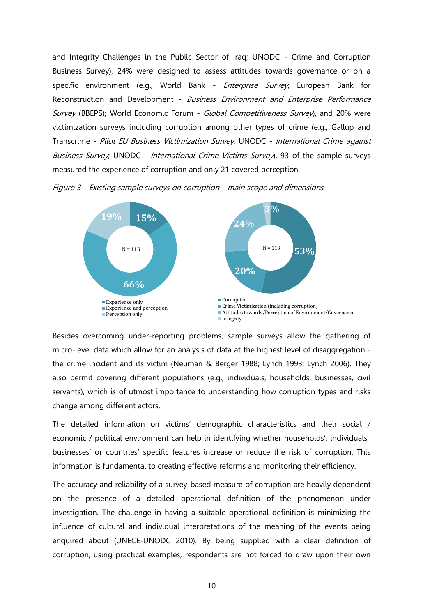and Integrity Challenges in the Public Sector of Iraq; UNODC - Crime and Corruption Business Survey), 24% were designed to assess attitudes towards governance or on a specific environment (e.g., World Bank - *Enterprise Survey*; European Bank for Reconstruction and Development - Business Environment and Enterprise Performance Survey (BBEPS); World Economic Forum - Global Competitiveness Survey), and 20% were victimization surveys including corruption among other types of crime (e.g., Gallup and Transcrime - Pilot EU Business Victimization Survey; UNODC - International Crime against Business Survey, UNODC - International Crime Victims Survey). 93 of the sample surveys measured the experience of corruption and only 21 covered perception.

Figure 3 – Existing sample surveys on corruption – main scope and dimensions



Besides overcoming under-reporting problems, sample surveys allow the gathering of micro-level data which allow for an analysis of data at the highest level of disaggregation the crime incident and its victim (Neuman & Berger 1988; Lynch 1993; Lynch 2006). They also permit covering different populations (e.g., individuals, households, businesses, civil servants), which is of utmost importance to understanding how corruption types and risks change among different actors.

The detailed information on victims' demographic characteristics and their social / economic / political environment can help in identifying whether households', individuals,' businesses' or countries' specific features increase or reduce the risk of corruption. This information is fundamental to creating effective reforms and monitoring their efficiency.

The accuracy and reliability of a survey-based measure of corruption are heavily dependent on the presence of a detailed operational definition of the phenomenon under investigation. The challenge in having a suitable operational definition is minimizing the influence of cultural and individual interpretations of the meaning of the events being enquired about (UNECE-UNODC 2010). By being supplied with a clear definition of corruption, using practical examples, respondents are not forced to draw upon their own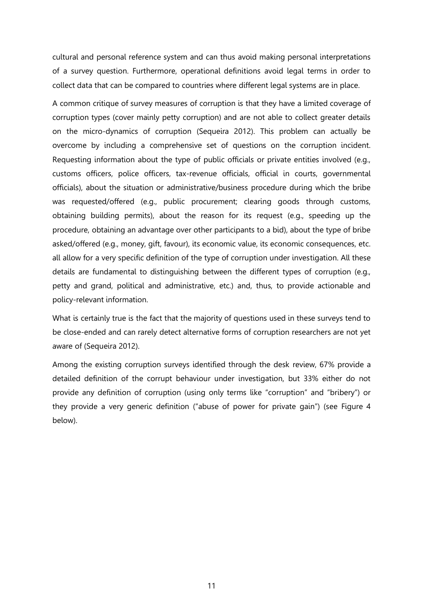cultural and personal reference system and can thus avoid making personal interpretations of a survey question. Furthermore, operational definitions avoid legal terms in order to collect data that can be compared to countries where different legal systems are in place.

A common critique of survey measures of corruption is that they have a limited coverage of corruption types (cover mainly petty corruption) and are not able to collect greater details on the micro-dynamics of corruption (Sequeira 2012). This problem can actually be overcome by including a comprehensive set of questions on the corruption incident. Requesting information about the type of public officials or private entities involved (e.g., customs officers, police officers, tax-revenue officials, official in courts, governmental officials), about the situation or administrative/business procedure during which the bribe was requested/offered (e.g., public procurement; clearing goods through customs, obtaining building permits), about the reason for its request (e.g., speeding up the procedure, obtaining an advantage over other participants to a bid), about the type of bribe asked/offered (e.g., money, gift, favour), its economic value, its economic consequences, etc. all allow for a very specific definition of the type of corruption under investigation. All these details are fundamental to distinguishing between the different types of corruption (e.g., petty and grand, political and administrative, etc.) and, thus, to provide actionable and policy-relevant information.

What is certainly true is the fact that the majority of questions used in these surveys tend to be close-ended and can rarely detect alternative forms of corruption researchers are not yet aware of (Sequeira 2012).

Among the existing corruption surveys identified through the desk review, 67% provide a detailed definition of the corrupt behaviour under investigation, but 33% either do not provide any definition of corruption (using only terms like "corruption" and "bribery") or they provide a very generic definition ("abuse of power for private gain") (see Figure 4 below).

11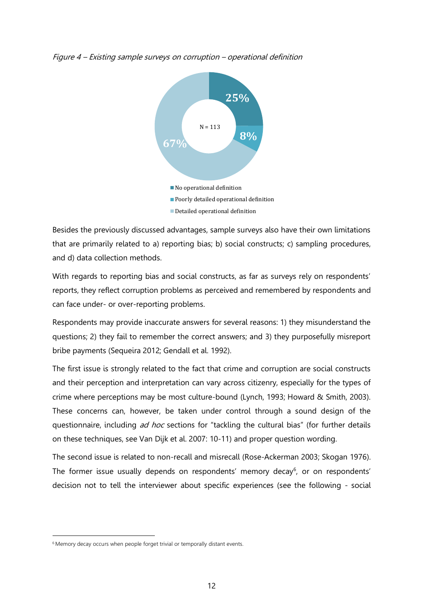



Besides the previously discussed advantages, sample surveys also have their own limitations that are primarily related to a) reporting bias; b) social constructs; c) sampling procedures, and d) data collection methods.

With regards to reporting bias and social constructs, as far as surveys rely on respondents' reports, they reflect corruption problems as perceived and remembered by respondents and can face under- or over-reporting problems.

Respondents may provide inaccurate answers for several reasons: 1) they misunderstand the questions; 2) they fail to remember the correct answers; and 3) they purposefully misreport bribe payments (Sequeira 2012; Gendall et al. 1992).

The first issue is strongly related to the fact that crime and corruption are social constructs and their perception and interpretation can vary across citizenry, especially for the types of crime where perceptions may be most culture-bound (Lynch, 1993; Howard & Smith, 2003). These concerns can, however, be taken under control through a sound design of the questionnaire, including ad hoc sections for "tackling the cultural bias" (for further details on these techniques, see Van Dijk et al. 2007: 10-11) and proper question wording.

The second issue is related to non-recall and misrecall (Rose-Ackerman 2003; Skogan 1976). The former issue usually depends on respondents' memory decay<sup>6</sup>, or on respondents' decision not to tell the interviewer about specific experiences (see the following - social

<sup>&</sup>lt;sup>6</sup> Memory decay occurs when people forget trivial or temporally distant events.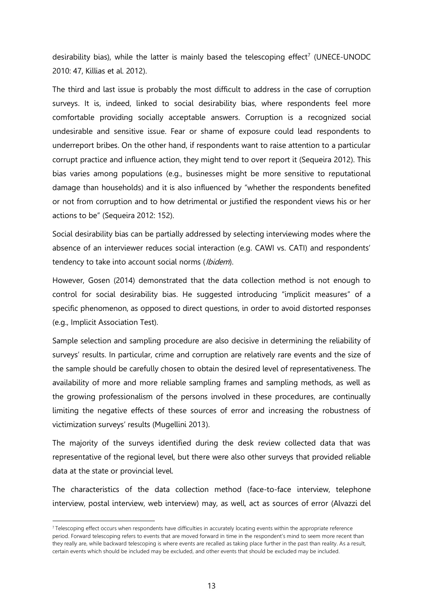desirability bias), while the latter is mainly based the telescoping effect<sup>7</sup> (UNECE-UNODC 2010: 47, Killias et al. 2012).

The third and last issue is probably the most difficult to address in the case of corruption surveys. It is, indeed, linked to social desirability bias, where respondents feel more comfortable providing socially acceptable answers. Corruption is a recognized social undesirable and sensitive issue. Fear or shame of exposure could lead respondents to underreport bribes. On the other hand, if respondents want to raise attention to a particular corrupt practice and influence action, they might tend to over report it (Sequeira 2012). This bias varies among populations (e.g., businesses might be more sensitive to reputational damage than households) and it is also influenced by "whether the respondents benefited or not from corruption and to how detrimental or justified the respondent views his or her actions to be" (Sequeira 2012: 152).

Social desirability bias can be partially addressed by selecting interviewing modes where the absence of an interviewer reduces social interaction (e.g. CAWI vs. CATI) and respondents' tendency to take into account social norms (Ibidem).

However, Gosen (2014) demonstrated that the data collection method is not enough to control for social desirability bias. He suggested introducing "implicit measures" of a specific phenomenon, as opposed to direct questions, in order to avoid distorted responses (e.g., Implicit Association Test).

Sample selection and sampling procedure are also decisive in determining the reliability of surveys' results. In particular, crime and corruption are relatively rare events and the size of the sample should be carefully chosen to obtain the desired level of representativeness. The availability of more and more reliable sampling frames and sampling methods, as well as the growing professionalism of the persons involved in these procedures, are continually limiting the negative effects of these sources of error and increasing the robustness of victimization surveys' results (Mugellini 2013).

The majority of the surveys identified during the desk review collected data that was representative of the regional level, but there were also other surveys that provided reliable data at the state or provincial level.

The characteristics of the data collection method (face-to-face interview, telephone interview, postal interview, web interview) may, as well, act as sources of error (Alvazzi del

<sup>7</sup> Telescoping effect occurs when respondents have difficulties in accurately locating events within the appropriate reference period. Forward telescoping refers to events that are moved forward in time in the respondent's mind to seem more recent than they really are, while backward telescoping is where events are recalled as taking place further in the past than reality. As a result, certain events which should be included may be excluded, and other events that should be excluded may be included.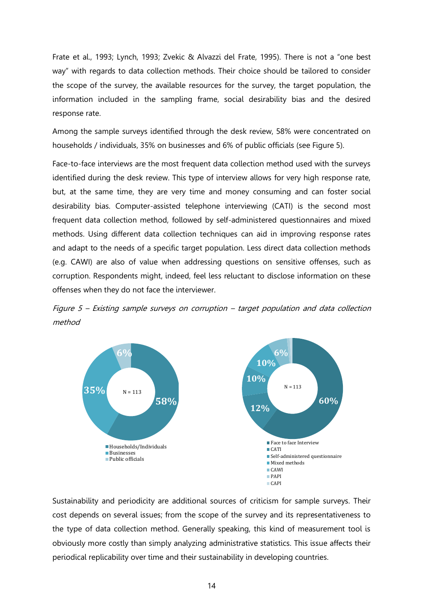Frate et al., 1993; Lynch, 1993; Zvekic & Alvazzi del Frate, 1995). There is not a "one best way" with regards to data collection methods. Their choice should be tailored to consider the scope of the survey, the available resources for the survey, the target population, the information included in the sampling frame, social desirability bias and the desired response rate.

Among the sample surveys identified through the desk review, 58% were concentrated on households / individuals, 35% on businesses and 6% of public officials (see Figure 5).

Face-to-face interviews are the most frequent data collection method used with the surveys identified during the desk review. This type of interview allows for very high response rate, but, at the same time, they are very time and money consuming and can foster social desirability bias. Computer-assisted telephone interviewing (CATI) is the second most frequent data collection method, followed by self-administered questionnaires and mixed methods. Using different data collection techniques can aid in improving response rates and adapt to the needs of a specific target population. Less direct data collection methods (e.g. CAWI) are also of value when addressing questions on sensitive offenses, such as corruption. Respondents might, indeed, feel less reluctant to disclose information on these offenses when they do not face the interviewer.





Sustainability and periodicity are additional sources of criticism for sample surveys. Their cost depends on several issues; from the scope of the survey and its representativeness to the type of data collection method. Generally speaking, this kind of measurement tool is obviously more costly than simply analyzing administrative statistics. This issue affects their periodical replicability over time and their sustainability in developing countries.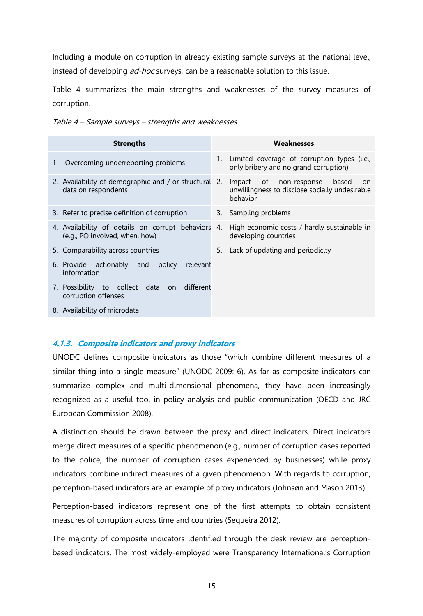Including a module on corruption in already existing sample surveys at the national level, instead of developing *ad-hoc* surveys, can be a reasonable solution to this issue.

Table 4 summarizes the main strengths and weaknesses of the survey measures of corruption.

|    | <b>Strengths</b>                                                                  | Weaknesses  |                                                                                                     |  |
|----|-----------------------------------------------------------------------------------|-------------|-----------------------------------------------------------------------------------------------------|--|
| 1. | Overcoming underreporting problems                                                | $1_{\cdot}$ | Limited coverage of corruption types (i.e.,<br>only bribery and no grand corruption)                |  |
|    | 2. Availability of demographic and / or structural 2.<br>data on respondents      |             | Impact of non-response<br>based<br>on<br>unwillingness to disclose socially undesirable<br>behavior |  |
|    | 3. Refer to precise definition of corruption                                      |             | 3. Sampling problems                                                                                |  |
|    | 4. Availability of details on corrupt behaviors<br>(e.g., PO involved, when, how) | 4.          | High economic costs / hardly sustainable in<br>developing countries                                 |  |
|    | 5. Comparability across countries                                                 |             | 5. Lack of updating and periodicity                                                                 |  |
|    | 6. Provide actionably and policy<br>relevant<br>information                       |             |                                                                                                     |  |
|    | 7. Possibility to collect data on<br>different<br>corruption offenses             |             |                                                                                                     |  |
|    | 8. Availability of microdata                                                      |             |                                                                                                     |  |
|    |                                                                                   |             |                                                                                                     |  |

Table 4 – Sample surveys – strengths and weaknesses

## **4.1.3. Composite indicators and proxy indicators**

UNODC defines composite indicators as those "which combine different measures of a similar thing into a single measure" (UNODC 2009: 6). As far as composite indicators can summarize complex and multi-dimensional phenomena, they have been increasingly recognized as a useful tool in policy analysis and public communication (OECD and JRC European Commission 2008).

A distinction should be drawn between the proxy and direct indicators. Direct indicators merge direct measures of a specific phenomenon (e.g., number of corruption cases reported to the police, the number of corruption cases experienced by businesses) while proxy indicators combine indirect measures of a given phenomenon. With regards to corruption, perception-based indicators are an example of proxy indicators (Johnsøn and Mason 2013).

Perception-based indicators represent one of the first attempts to obtain consistent measures of corruption across time and countries (Sequeira 2012).

The majority of composite indicators identified through the desk review are perceptionbased indicators. The most widely-employed were Transparency International's Corruption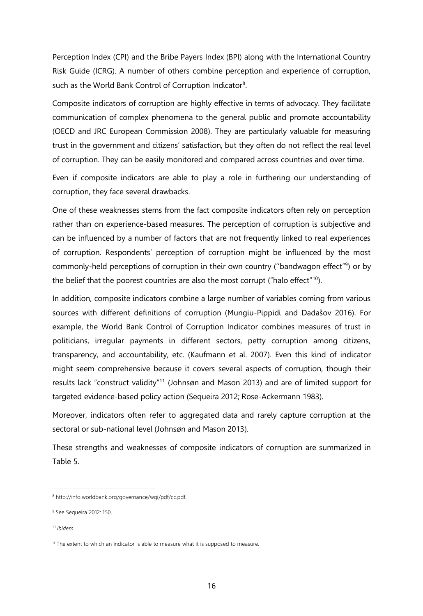Perception Index (CPI) and the Bribe Payers Index (BPI) along with the International Country Risk Guide (ICRG). A number of others combine perception and experience of corruption, such as the World Bank Control of Corruption Indicator<sup>8</sup>.

Composite indicators of corruption are highly effective in terms of advocacy. They facilitate communication of complex phenomena to the general public and promote accountability (OECD and JRC European Commission 2008). They are particularly valuable for measuring trust in the government and citizens' satisfaction, but they often do not reflect the real level of corruption. They can be easily monitored and compared across countries and over time.

Even if composite indicators are able to play a role in furthering our understanding of corruption, they face several drawbacks.

One of these weaknesses stems from the fact composite indicators often rely on perception rather than on experience-based measures. The perception of corruption is subjective and can be influenced by a number of factors that are not frequently linked to real experiences of corruption. Respondents' perception of corruption might be influenced by the most commonly-held perceptions of corruption in their own country ("bandwagon effect"<sup>9</sup>) or by the belief that the poorest countries are also the most corrupt ("halo effect"<sup>10</sup>).

In addition, composite indicators combine a large number of variables coming from various sources with different definitions of corruption (Mungiu-Pippidi and Dadašov 2016). For example, the World Bank Control of Corruption Indicator combines measures of trust in politicians, irregular payments in different sectors, petty corruption among citizens, transparency, and accountability, etc. (Kaufmann et al. 2007). Even this kind of indicator might seem comprehensive because it covers several aspects of corruption, though their results lack "construct validity"<sup>11</sup> (Johnsøn and Mason 2013) and are of limited support for targeted evidence-based policy action (Sequeira 2012; Rose-Ackermann 1983).

Moreover, indicators often refer to aggregated data and rarely capture corruption at the sectoral or sub-national level (Johnsøn and Mason 2013).

These strengths and weaknesses of composite indicators of corruption are summarized in Table 5.

<sup>8</sup> http://info.worldbank.org/governance/wgi/pdf/cc.pdf.

<sup>&</sup>lt;sup>9</sup> See Sequeira 2012: 150.

<sup>10</sup> *Ibidem.*

 $11$  The extent to which an indicator is able to measure what it is supposed to measure.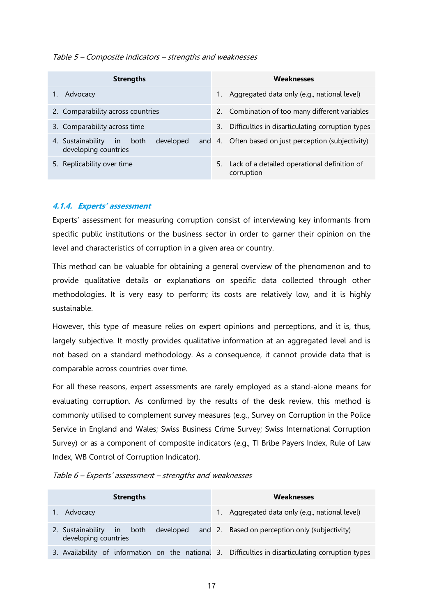#### Table 5 – Composite indicators – strengths and weaknesses

| <b>Strengths</b>                                                      | <b>Weaknesses</b>                                                |  |  |
|-----------------------------------------------------------------------|------------------------------------------------------------------|--|--|
| Advocacy                                                              | Aggregated data only (e.g., national level)<br>1.                |  |  |
| 2. Comparability across countries                                     | 2. Combination of too many different variables                   |  |  |
| 3. Comparability across time                                          | Difficulties in disarticulating corruption types<br>3.           |  |  |
| developed<br>4. Sustainability<br>both<br>in.<br>developing countries | and 4. Often based on just perception (subjectivity)             |  |  |
| 5. Replicability over time                                            | Lack of a detailed operational definition of<br>5.<br>corruption |  |  |

#### **4.1.4. Experts' assessment**

Experts' assessment for measuring corruption consist of interviewing key informants from specific public institutions or the business sector in order to garner their opinion on the level and characteristics of corruption in a given area or country.

This method can be valuable for obtaining a general overview of the phenomenon and to provide qualitative details or explanations on specific data collected through other methodologies. It is very easy to perform; its costs are relatively low, and it is highly sustainable.

However, this type of measure relies on expert opinions and perceptions, and it is, thus, largely subjective. It mostly provides qualitative information at an aggregated level and is not based on a standard methodology. As a consequence, it cannot provide data that is comparable across countries over time.

For all these reasons, expert assessments are rarely employed as a stand-alone means for evaluating corruption. As confirmed by the results of the desk review, this method is commonly utilised to complement survey measures (e.g., Survey on Corruption in the Police Service in England and Wales; Swiss Business Crime Survey; Swiss International Corruption Survey) or as a component of composite indicators (e.g., TI Bribe Payers Index, Rule of Law Index, WB Control of Corruption Indicator).

| Table 6 - Experts' assessment - strengths and weaknesses |  |
|----------------------------------------------------------|--|
|                                                          |  |

| <b>Strengths</b>                                                                                   | Weaknesses                                               |  |  |
|----------------------------------------------------------------------------------------------------|----------------------------------------------------------|--|--|
| Advocacy                                                                                           | 1. Aggregated data only (e.g., national level)           |  |  |
| 2. Sustainability in both<br>developing countries                                                  | developed and 2. Based on perception only (subjectivity) |  |  |
| 3. Availability of information on the national 3. Difficulties in disarticulating corruption types |                                                          |  |  |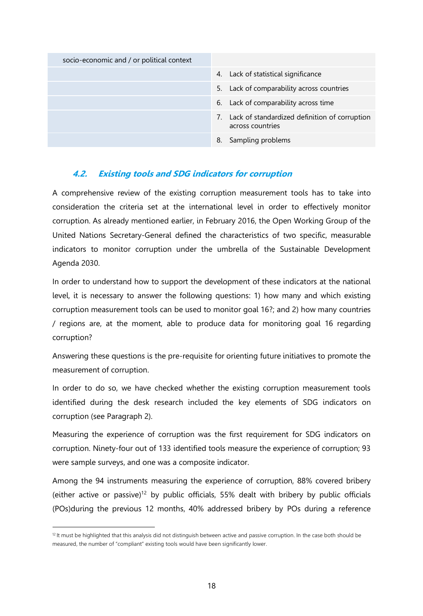| socio-economic and / or political context |                                                                      |
|-------------------------------------------|----------------------------------------------------------------------|
|                                           | 4. Lack of statistical significance                                  |
|                                           | 5. Lack of comparability across countries                            |
|                                           | 6. Lack of comparability across time                                 |
|                                           | 7. Lack of standardized definition of corruption<br>across countries |
|                                           | Sampling problems<br>8.                                              |

## <span id="page-17-0"></span>**4.2. Existing tools and SDG indicators for corruption**

A comprehensive review of the existing corruption measurement tools has to take into consideration the criteria set at the international level in order to effectively monitor corruption. As already mentioned earlier, in February 2016, the Open Working Group of the United Nations Secretary-General defined the characteristics of two specific, measurable indicators to monitor corruption under the umbrella of the Sustainable Development Agenda 2030.

In order to understand how to support the development of these indicators at the national level, it is necessary to answer the following questions: 1) how many and which existing corruption measurement tools can be used to monitor goal 16?; and 2) how many countries / regions are, at the moment, able to produce data for monitoring goal 16 regarding corruption?

Answering these questions is the pre-requisite for orienting future initiatives to promote the measurement of corruption.

In order to do so, we have checked whether the existing corruption measurement tools identified during the desk research included the key elements of SDG indicators on corruption (see Paragraph 2).

Measuring the experience of corruption was the first requirement for SDG indicators on corruption. Ninety-four out of 133 identified tools measure the experience of corruption; 93 were sample surveys, and one was a composite indicator.

Among the 94 instruments measuring the experience of corruption, 88% covered bribery (either active or passive)<sup>12</sup> by public officials, 55% dealt with bribery by public officials (POs)during the previous 12 months, 40% addressed bribery by POs during a reference

 $12$  It must be highlighted that this analysis did not distinguish between active and passive corruption. In the case both should be measured, the number of "compliant" existing tools would have been significantly lower.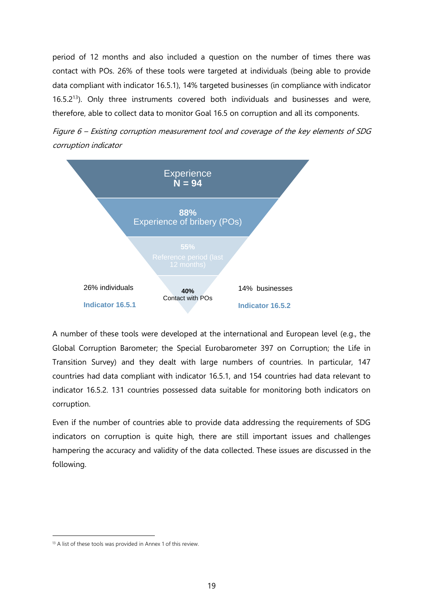period of 12 months and also included a question on the number of times there was contact with POs. 26% of these tools were targeted at individuals (being able to provide data compliant with indicator 16.5.1), 14% targeted businesses (in compliance with indicator 16.5.2<sup>13</sup>). Only three instruments covered both individuals and businesses and were, therefore, able to collect data to monitor Goal 16.5 on corruption and all its components.





A number of these tools were developed at the international and European level (e.g., the Global Corruption Barometer; the Special Eurobarometer 397 on Corruption; the Life in Transition Survey) and they dealt with large numbers of countries. In particular, 147 countries had data compliant with indicator 16.5.1, and 154 countries had data relevant to indicator 16.5.2. 131 countries possessed data suitable for monitoring both indicators on corruption.

Even if the number of countries able to provide data addressing the requirements of SDG indicators on corruption is quite high, there are still important issues and challenges hampering the accuracy and validity of the data collected. These issues are discussed in the following.

<sup>&</sup>lt;sup>13</sup> A list of these tools was provided in Annex 1 of this review.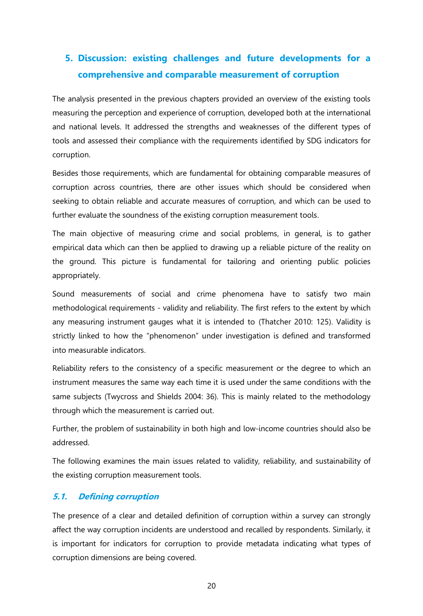## <span id="page-19-0"></span>**5. Discussion: existing challenges and future developments for a comprehensive and comparable measurement of corruption**

The analysis presented in the previous chapters provided an overview of the existing tools measuring the perception and experience of corruption, developed both at the international and national levels. It addressed the strengths and weaknesses of the different types of tools and assessed their compliance with the requirements identified by SDG indicators for corruption.

Besides those requirements, which are fundamental for obtaining comparable measures of corruption across countries, there are other issues which should be considered when seeking to obtain reliable and accurate measures of corruption, and which can be used to further evaluate the soundness of the existing corruption measurement tools.

The main objective of measuring crime and social problems, in general, is to gather empirical data which can then be applied to drawing up a reliable picture of the reality on the ground. This picture is fundamental for tailoring and orienting public policies appropriately.

Sound measurements of social and crime phenomena have to satisfy two main methodological requirements - validity and reliability. The first refers to the extent by which any measuring instrument gauges what it is intended to (Thatcher 2010: 125). Validity is strictly linked to how the "phenomenon" under investigation is defined and transformed into measurable indicators.

Reliability refers to the consistency of a specific measurement or the degree to which an instrument measures the same way each time it is used under the same conditions with the same subjects (Twycross and Shields 2004: 36). This is mainly related to the methodology through which the measurement is carried out.

Further, the problem of sustainability in both high and low-income countries should also be addressed.

The following examines the main issues related to validity, reliability, and sustainability of the existing corruption measurement tools.

## <span id="page-19-1"></span>**5.1. Defining corruption**

The presence of a clear and detailed definition of corruption within a survey can strongly affect the way corruption incidents are understood and recalled by respondents. Similarly, it is important for indicators for corruption to provide metadata indicating what types of corruption dimensions are being covered.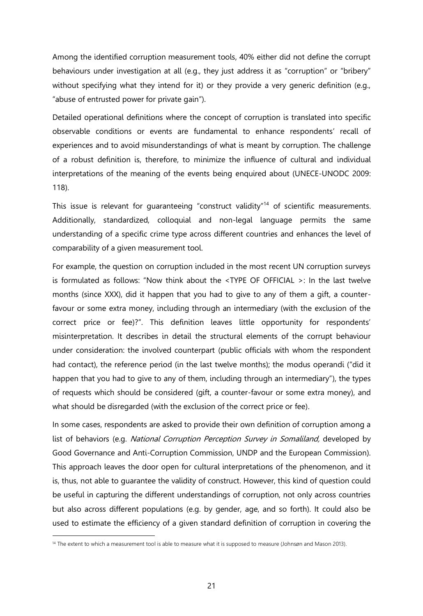Among the identified corruption measurement tools, 40% either did not define the corrupt behaviours under investigation at all (e.g., they just address it as "corruption" or "bribery" without specifying what they intend for it) or they provide a very generic definition (e.g., "abuse of entrusted power for private gain").

Detailed operational definitions where the concept of corruption is translated into specific observable conditions or events are fundamental to enhance respondents' recall of experiences and to avoid misunderstandings of what is meant by corruption. The challenge of a robust definition is, therefore, to minimize the influence of cultural and individual interpretations of the meaning of the events being enquired about (UNECE-UNODC 2009: 118).

This issue is relevant for guaranteeing "construct validity"<sup>14</sup> of scientific measurements. Additionally, standardized, colloquial and non-legal language permits the same understanding of a specific crime type across different countries and enhances the level of comparability of a given measurement tool.

For example, the question on corruption included in the most recent UN corruption surveys is formulated as follows: "Now think about the <TYPE OF OFFICIAL >: In the last twelve months (since XXX), did it happen that you had to give to any of them a gift, a counterfavour or some extra money, including through an intermediary (with the exclusion of the correct price or fee)?". This definition leaves little opportunity for respondents' misinterpretation. It describes in detail the structural elements of the corrupt behaviour under consideration: the involved counterpart (public officials with whom the respondent had contact), the reference period (in the last twelve months); the modus operandi ("did it happen that you had to give to any of them, including through an intermediary"), the types of requests which should be considered (gift, a counter-favour or some extra money), and what should be disregarded (with the exclusion of the correct price or fee).

In some cases, respondents are asked to provide their own definition of corruption among a list of behaviors (e.g. National Corruption Perception Survey in Somaliland, developed by Good Governance and Anti-Corruption Commission, UNDP and the European Commission). This approach leaves the door open for cultural interpretations of the phenomenon, and it is, thus, not able to guarantee the validity of construct. However, this kind of question could be useful in capturing the different understandings of corruption, not only across countries but also across different populations (e.g. by gender, age, and so forth). It could also be used to estimate the efficiency of a given standard definition of corruption in covering the

<sup>&</sup>lt;sup>14</sup> The extent to which a measurement tool is able to measure what it is supposed to measure (Johnsøn and Mason 2013).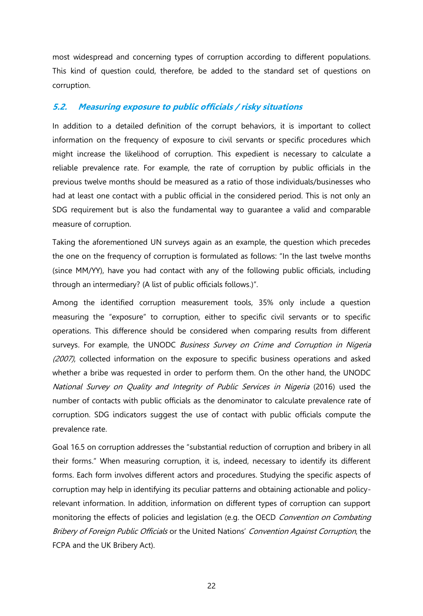most widespread and concerning types of corruption according to different populations. This kind of question could, therefore, be added to the standard set of questions on corruption.

## <span id="page-21-0"></span>**5.2. Measuring exposure to public officials / risky situations**

In addition to a detailed definition of the corrupt behaviors, it is important to collect information on the frequency of exposure to civil servants or specific procedures which might increase the likelihood of corruption. This expedient is necessary to calculate a reliable prevalence rate. For example, the rate of corruption by public officials in the previous twelve months should be measured as a ratio of those individuals/businesses who had at least one contact with a public official in the considered period. This is not only an SDG requirement but is also the fundamental way to guarantee a valid and comparable measure of corruption.

Taking the aforementioned UN surveys again as an example, the question which precedes the one on the frequency of corruption is formulated as follows: "In the last twelve months (since MM/YY), have you had contact with any of the following public officials, including through an intermediary? (A list of public officials follows.)".

Among the identified corruption measurement tools, 35% only include a question measuring the "exposure" to corruption, either to specific civil servants or to specific operations. This difference should be considered when comparing results from different surveys. For example, the UNODC Business Survey on Crime and Corruption in Nigeria (2007), collected information on the exposure to specific business operations and asked whether a bribe was requested in order to perform them. On the other hand, the UNODC National Survey on Quality and Integrity of Public Services in Nigeria (2016) used the number of contacts with public officials as the denominator to calculate prevalence rate of corruption. SDG indicators suggest the use of contact with public officials compute the prevalence rate.

Goal 16.5 on corruption addresses the "substantial reduction of corruption and bribery in all their forms." When measuring corruption, it is, indeed, necessary to identify its different forms. Each form involves different actors and procedures. Studying the specific aspects of corruption may help in identifying its peculiar patterns and obtaining actionable and policyrelevant information. In addition, information on different types of corruption can support monitoring the effects of policies and legislation (e.g. the OECD Convention on Combating Bribery of Foreign Public Officials or the United Nations' Convention Against Corruption, the FCPA and the UK Bribery Act).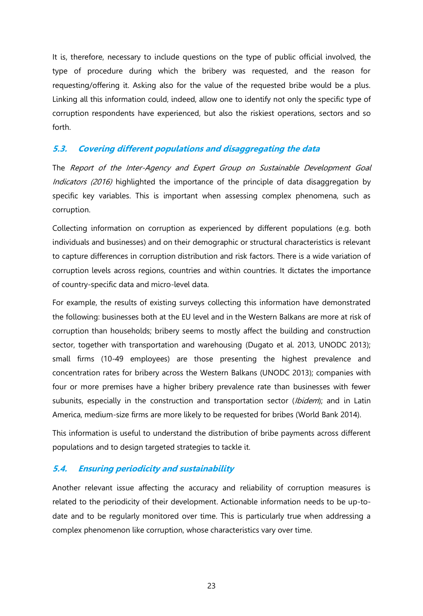It is, therefore, necessary to include questions on the type of public official involved, the type of procedure during which the bribery was requested, and the reason for requesting/offering it. Asking also for the value of the requested bribe would be a plus. Linking all this information could, indeed, allow one to identify not only the specific type of corruption respondents have experienced, but also the riskiest operations, sectors and so forth.

## <span id="page-22-0"></span>**5.3. Covering different populations and disaggregating the data**

The Report of the Inter-Agency and Expert Group on Sustainable Development Goal Indicators (2016) highlighted the importance of the principle of data disaggregation by specific key variables. This is important when assessing complex phenomena, such as corruption.

Collecting information on corruption as experienced by different populations (e.g. both individuals and businesses) and on their demographic or structural characteristics is relevant to capture differences in corruption distribution and risk factors. There is a wide variation of corruption levels across regions, countries and within countries. It dictates the importance of country-specific data and micro-level data.

For example, the results of existing surveys collecting this information have demonstrated the following: businesses both at the EU level and in the Western Balkans are more at risk of corruption than households; bribery seems to mostly affect the building and construction sector, together with transportation and warehousing (Dugato et al. 2013, UNODC 2013); small firms (10-49 employees) are those presenting the highest prevalence and concentration rates for bribery across the Western Balkans (UNODC 2013); companies with four or more premises have a higher bribery prevalence rate than businesses with fewer subunits, especially in the construction and transportation sector (Ibidem); and in Latin America, medium-size firms are more likely to be requested for bribes (World Bank 2014).

This information is useful to understand the distribution of bribe payments across different populations and to design targeted strategies to tackle it.

## <span id="page-22-1"></span>**5.4. Ensuring periodicity and sustainability**

Another relevant issue affecting the accuracy and reliability of corruption measures is related to the periodicity of their development. Actionable information needs to be up-todate and to be regularly monitored over time. This is particularly true when addressing a complex phenomenon like corruption, whose characteristics vary over time.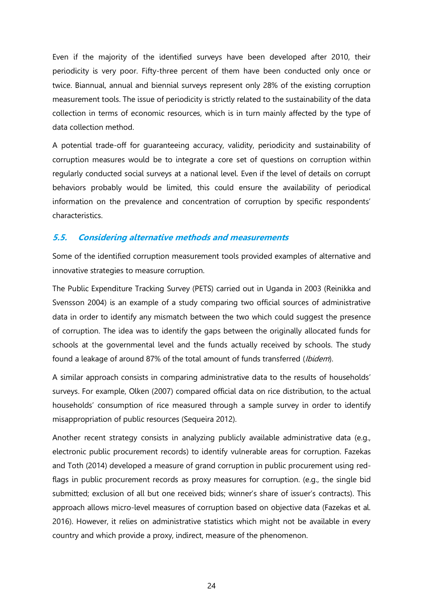Even if the majority of the identified surveys have been developed after 2010, their periodicity is very poor. Fifty-three percent of them have been conducted only once or twice. Biannual, annual and biennial surveys represent only 28% of the existing corruption measurement tools. The issue of periodicity is strictly related to the sustainability of the data collection in terms of economic resources, which is in turn mainly affected by the type of data collection method.

A potential trade-off for guaranteeing accuracy, validity, periodicity and sustainability of corruption measures would be to integrate a core set of questions on corruption within regularly conducted social surveys at a national level. Even if the level of details on corrupt behaviors probably would be limited, this could ensure the availability of periodical information on the prevalence and concentration of corruption by specific respondents' characteristics.

## <span id="page-23-0"></span>**5.5. Considering alternative methods and measurements**

Some of the identified corruption measurement tools provided examples of alternative and innovative strategies to measure corruption.

The Public Expenditure Tracking Survey (PETS) carried out in Uganda in 2003 (Reinikka and Svensson 2004) is an example of a study comparing two official sources of administrative data in order to identify any mismatch between the two which could suggest the presence of corruption. The idea was to identify the gaps between the originally allocated funds for schools at the governmental level and the funds actually received by schools. The study found a leakage of around 87% of the total amount of funds transferred (Ibidem).

A similar approach consists in comparing administrative data to the results of households' surveys. For example, Olken (2007) compared official data on rice distribution, to the actual households' consumption of rice measured through a sample survey in order to identify misappropriation of public resources (Sequeira 2012).

Another recent strategy consists in analyzing publicly available administrative data (e.g., electronic public procurement records) to identify vulnerable areas for corruption. Fazekas and Toth (2014) developed a measure of grand corruption in public procurement using redflags in public procurement records as proxy measures for corruption. (e.g., the single bid submitted; exclusion of all but one received bids; winner's share of issuer's contracts). This approach allows micro-level measures of corruption based on objective data (Fazekas et al. 2016). However, it relies on administrative statistics which might not be available in every country and which provide a proxy, indirect, measure of the phenomenon.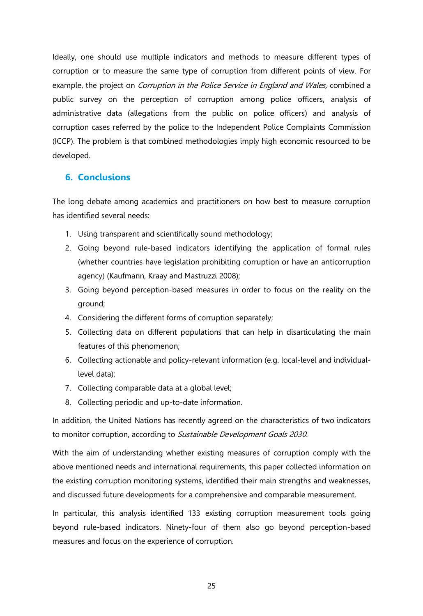Ideally, one should use multiple indicators and methods to measure different types of corruption or to measure the same type of corruption from different points of view. For example, the project on *Corruption in the Police Service in England and Wales*, combined a public survey on the perception of corruption among police officers, analysis of administrative data (allegations from the public on police officers) and analysis of corruption cases referred by the police to the Independent Police Complaints Commission (ICCP). The problem is that combined methodologies imply high economic resourced to be developed.

## <span id="page-24-0"></span>**6. Conclusions**

The long debate among academics and practitioners on how best to measure corruption has identified several needs:

- 1. Using transparent and scientifically sound methodology;
- 2. Going beyond rule-based indicators identifying the application of formal rules (whether countries have legislation prohibiting corruption or have an anticorruption agency) (Kaufmann, Kraay and Mastruzzi 2008);
- 3. Going beyond perception-based measures in order to focus on the reality on the ground;
- 4. Considering the different forms of corruption separately;
- 5. Collecting data on different populations that can help in disarticulating the main features of this phenomenon;
- 6. Collecting actionable and policy-relevant information (e.g. local-level and individuallevel data);
- 7. Collecting comparable data at a global level;
- 8. Collecting periodic and up-to-date information.

In addition, the United Nations has recently agreed on the characteristics of two indicators to monitor corruption, according to Sustainable Development Goals 2030.

With the aim of understanding whether existing measures of corruption comply with the above mentioned needs and international requirements, this paper collected information on the existing corruption monitoring systems, identified their main strengths and weaknesses, and discussed future developments for a comprehensive and comparable measurement.

In particular, this analysis identified 133 existing corruption measurement tools going beyond rule-based indicators. Ninety-four of them also go beyond perception-based measures and focus on the experience of corruption.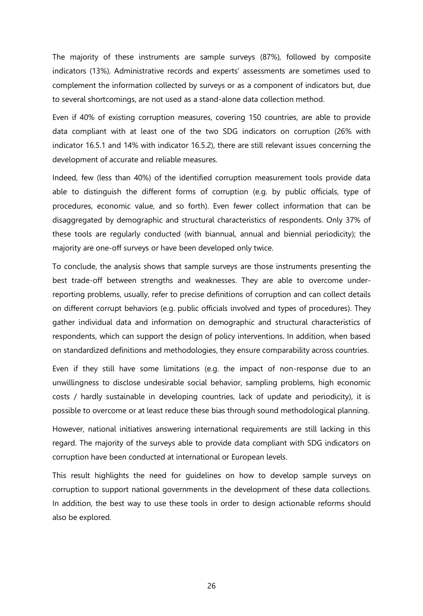The majority of these instruments are sample surveys (87%), followed by composite indicators (13%). Administrative records and experts' assessments are sometimes used to complement the information collected by surveys or as a component of indicators but, due to several shortcomings, are not used as a stand-alone data collection method.

Even if 40% of existing corruption measures, covering 150 countries, are able to provide data compliant with at least one of the two SDG indicators on corruption (26% with indicator 16.5.1 and 14% with indicator 16.5.2), there are still relevant issues concerning the development of accurate and reliable measures.

Indeed, few (less than 40%) of the identified corruption measurement tools provide data able to distinguish the different forms of corruption (e.g. by public officials, type of procedures, economic value, and so forth). Even fewer collect information that can be disaggregated by demographic and structural characteristics of respondents. Only 37% of these tools are regularly conducted (with biannual, annual and biennial periodicity); the majority are one-off surveys or have been developed only twice.

To conclude, the analysis shows that sample surveys are those instruments presenting the best trade-off between strengths and weaknesses. They are able to overcome underreporting problems, usually, refer to precise definitions of corruption and can collect details on different corrupt behaviors (e.g. public officials involved and types of procedures). They gather individual data and information on demographic and structural characteristics of respondents, which can support the design of policy interventions. In addition, when based on standardized definitions and methodologies, they ensure comparability across countries.

Even if they still have some limitations (e.g. the impact of non-response due to an unwillingness to disclose undesirable social behavior, sampling problems, high economic costs / hardly sustainable in developing countries, lack of update and periodicity), it is possible to overcome or at least reduce these bias through sound methodological planning.

However, national initiatives answering international requirements are still lacking in this regard. The majority of the surveys able to provide data compliant with SDG indicators on corruption have been conducted at international or European levels.

This result highlights the need for guidelines on how to develop sample surveys on corruption to support national governments in the development of these data collections. In addition, the best way to use these tools in order to design actionable reforms should also be explored.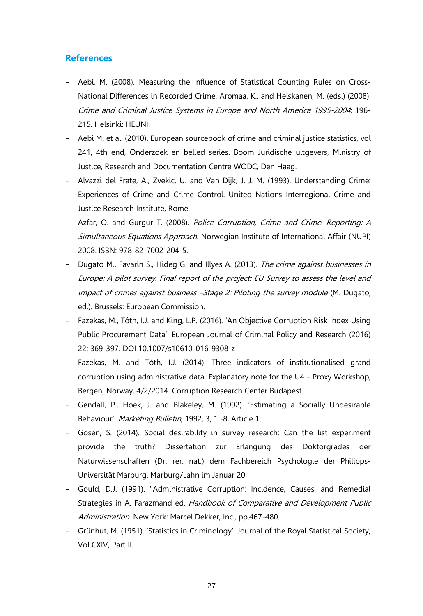## <span id="page-26-0"></span>**References**

- Aebi, M. (2008). Measuring the Influence of Statistical Counting Rules on Cross-National Differences in Recorded Crime. Aromaa, K., and Heiskanen, M. (eds.) (2008). Crime and Criminal Justice Systems in Europe and North America 1995-2004: 196- 215. Helsinki: HEUNI.
- Aebi M. et al. (2010). European sourcebook of crime and criminal justice statistics, vol 241, 4th end, Onderzoek en belied series. Boom Juridische uitgevers, Ministry of Justice, Research and Documentation Centre WODC, Den Haag.
- Alvazzi del Frate, A., Zvekic, U. and Van Dijk, J. J. M. (1993). Understanding Crime: Experiences of Crime and Crime Control. United Nations Interregional Crime and Justice Research Institute, Rome.
- Azfar, O. and Gurgur T. (2008). Police Corruption, Crime and Crime. Reporting: A Simultaneous Equations Approach. Norwegian Institute of International Affair (NUPI) 2008. ISBN: 978-82-7002-204-5.
- Dugato M., Favarin S., Hideg G. and Illyes A. (2013). The crime against businesses in Europe: A pilot survey. Final report of the project: EU Survey to assess the level and impact of crimes against business –Stage 2: Piloting the survey module (M. Dugato, ed.). Brussels: European Commission.
- Fazekas, M., Tóth, I.J. and King, L.P. (2016). 'An Objective Corruption Risk Index Using Public Procurement Data'. European Journal of Criminal Policy and Research (2016) 22: 369-397. DOI 10.1007/s10610-016-9308-z
- Fazekas, M. and Tóth, I.J. (2014). Three indicators of institutionalised grand corruption using administrative data. Explanatory note for the U4 - Proxy Workshop, Bergen, Norway, 4/2/2014. Corruption Research Center Budapest.
- Gendall, P., Hoek, J. and Blakeley, M. (1992). 'Estimating a Socially Undesirable Behaviour'. Marketing Bulletin, 1992, 3, 1 -8, Article 1.
- Gosen, S. (2014). Social desirability in survey research: Can the list experiment provide the truth? Dissertation zur Erlangung des Doktorgrades der Naturwissenschaften (Dr. rer. nat.) dem Fachbereich Psychologie der Philipps-Universität Marburg. Marburg/Lahn im Januar 20
- Gould, D.J. (1991). "Administrative Corruption: Incidence, Causes, and Remedial Strategies in A. Farazmand ed. Handbook of Comparative and Development Public Administration. New York: Marcel Dekker, Inc., pp.467-480.
- Grünhut, M. (1951). 'Statistics in Criminology'. Journal of the Royal Statistical Society, Vol CXIV, Part II.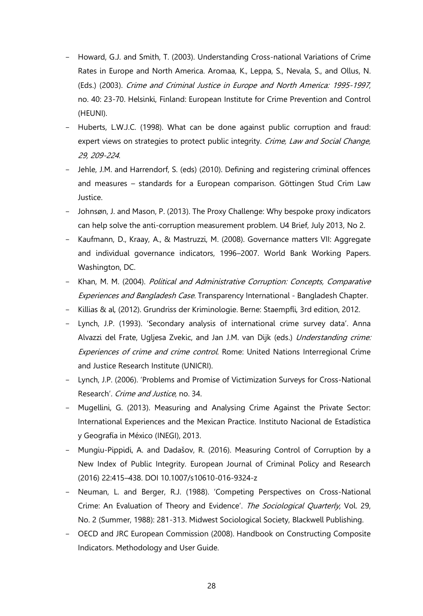- Howard, G.J. and Smith, T. (2003). Understanding Cross-national Variations of Crime Rates in Europe and North America. Aromaa, K., Leppa, S., Nevala, S., and Ollus, N. (Eds.) (2003). Crime and Criminal Justice in Europe and North America: 1995-1997, no. 40: 23-70. Helsinki, Finland: European Institute for Crime Prevention and Control (HEUNI).
- Huberts, L.W.J.C. (1998). What can be done against public corruption and fraud: expert views on strategies to protect public integrity. Crime, Law and Social Change, 29, 209-224.
- Jehle, J.M. and Harrendorf, S. (eds) (2010). Defining and registering criminal offences and measures – standards for a European comparison. Göttingen Stud Crim Law Justice.
- Johnsøn, J. and Mason, P. (2013). The Proxy Challenge: Why bespoke proxy indicators can help solve the anti-corruption measurement problem. U4 Brief, July 2013, No 2.
- Kaufmann, D., Kraay, A., & Mastruzzi, M. (2008). Governance matters VII: Aggregate and individual governance indicators, 1996–2007. World Bank Working Papers. Washington, DC.
- Khan, M. M. (2004). Political and Administrative Corruption: Concepts, Comparative Experiences and Bangladesh Case. Transparency International - Bangladesh Chapter.
- Killias & al, (2012). Grundriss der Kriminologie. Berne: Staempfli, 3rd edition, 2012.
- Lynch, J.P. (1993). 'Secondary analysis of international crime survey data'. Anna Alvazzi del Frate, Ugljesa Zvekic, and Jan J.M. van Dijk (eds.) Understanding crime: Experiences of crime and crime control. Rome: United Nations Interregional Crime and Justice Research Institute (UNICRI).
- Lynch, J.P. (2006). 'Problems and Promise of Victimization Surveys for Cross-National Research'. Crime and Justice, no. 34.
- Mugellini, G. (2013). Measuring and Analysing Crime Against the Private Sector: International Experiences and the Mexican Practice. Instituto Nacional de Estadística y Geografía in México (INEGI), 2013.
- Mungiu-Pippidi, A. and Dadašov, R. (2016). Measuring Control of Corruption by a New Index of Public Integrity. European Journal of Criminal Policy and Research (2016) 22:415–438. DOI 10.1007/s10610-016-9324-z
- Neuman, L. and Berger, R.J. (1988). 'Competing Perspectives on Cross-National Crime: An Evaluation of Theory and Evidence'. The Sociological Quarterly, Vol. 29, No. 2 (Summer, 1988): 281-313. Midwest Sociological Society, Blackwell Publishing.
- OECD and JRC European Commission (2008). Handbook on Constructing Composite Indicators. Methodology and User Guide.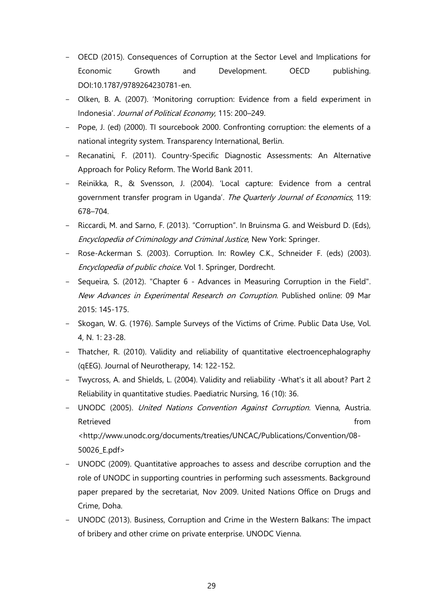- OECD (2015). Consequences of Corruption at the Sector Level and Implications for Economic Growth and Development. OECD publishing. DOI:10.1787/9789264230781-en.
- Olken, B. A. (2007). 'Monitoring corruption: Evidence from a field experiment in Indonesia'. Journal of Political Economy, 115: 200–249.
- Pope, J. (ed) (2000). TI sourcebook 2000. Confronting corruption: the elements of a national integrity system. Transparency International, Berlin.
- Recanatini, F. (2011). Country-Specific Diagnostic Assessments: An Alternative Approach for Policy Reform. The World Bank 2011.
- Reinikka, R., & Svensson, J. (2004). 'Local capture: Evidence from a central government transfer program in Uganda'. The Quarterly Journal of Economics, 119: 678–704.
- Riccardi, M. and Sarno, F. (2013). "Corruption". In Bruinsma G. and Weisburd D. (Eds), Encyclopedia of Criminology and Criminal Justice, New York: Springer.
- Rose-Ackerman S. (2003). Corruption. In: Rowley C.K., Schneider F. (eds) (2003). Encyclopedia of public choice. Vol 1. Springer, Dordrecht.
- Sequeira, S. (2012). "Chapter 6 Advances in Measuring Corruption in the Field". New Advances in Experimental Research on Corruption. Published online: 09 Mar 2015: 145-175.
- Skogan, W. G. (1976). Sample Surveys of the Victims of Crime. Public Data Use, Vol. 4, N. 1: 23-28.
- Thatcher, R. (2010). Validity and reliability of quantitative electroencephalography (qEEG). Journal of Neurotherapy, 14: 122-152.
- Twycross, A. and Shields, L. (2004). Validity and reliability -What's it all about? Part 2 Reliability in quantitative studies. Paediatric Nursing, 16 (10): 36.
- UNODC (2005). United Nations Convention Against Corruption. Vienna, Austria. Retrieved **from the contract of the contract of the contract of the contract of the contract of the contract of the contract of the contract of the contract of the contract of the contract of the contract of the contract o**

<http://www.unodc.org/documents/treaties/UNCAC/Publications/Convention/08- 50026\_E.pdf>

- UNODC (2009). Quantitative approaches to assess and describe corruption and the role of UNODC in supporting countries in performing such assessments. Background paper prepared by the secretariat, Nov 2009. United Nations Office on Drugs and Crime, Doha.
- UNODC (2013). Business, Corruption and Crime in the Western Balkans: The impact of bribery and other crime on private enterprise. UNODC Vienna.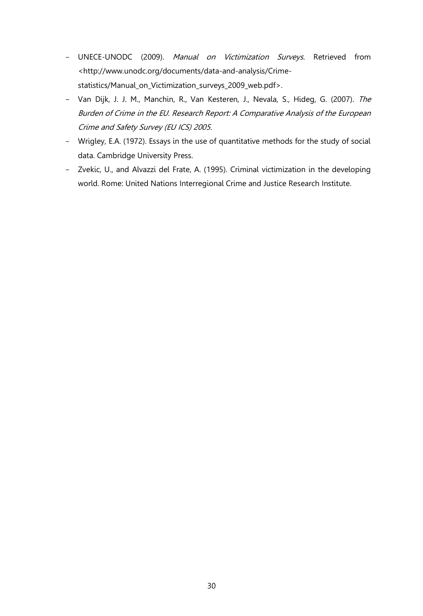- UNECE-UNODC (2009). Manual on Victimization Surveys. Retrieved from [<http://www.unodc.org/documents/data-and-analysis/Crime](http://www.unodc.org/documents/data-and-analysis/Crime-statistics/Manual_on_Victimization_surveys_2009_web.pdf)[statistics/Manual\\_on\\_Victimization\\_surveys\\_2009\\_web.pdf>](http://www.unodc.org/documents/data-and-analysis/Crime-statistics/Manual_on_Victimization_surveys_2009_web.pdf).
- Van Dijk, J. J. M., Manchin, R., Van Kesteren, J., Nevala, S., Hideg, G. (2007). The Burden of Crime in the EU. Research Report: A Comparative Analysis of the European Crime and Safety Survey (EU ICS) 2005.
- Wrigley, E.A. (1972). Essays in the use of quantitative methods for the study of social data. Cambridge University Press.
- Zvekic, U., and Alvazzi del Frate, A. (1995). Criminal victimization in the developing world. Rome: United Nations Interregional Crime and Justice Research Institute.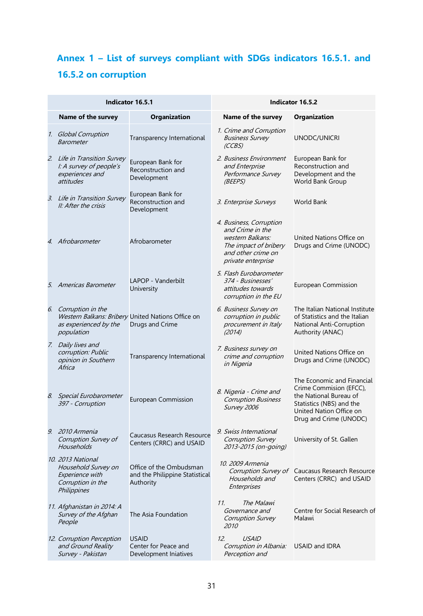## <span id="page-30-0"></span>**Annex 1 – List of surveys compliant with SDGs indicators 16.5.1. and 16.5.2 on corruption**

| Indicator 16.5.1 |                                                                                                 |                                                                        | <b>Indicator 16.5.2</b>                                                                                                              |                                                                                                                                                                  |  |
|------------------|-------------------------------------------------------------------------------------------------|------------------------------------------------------------------------|--------------------------------------------------------------------------------------------------------------------------------------|------------------------------------------------------------------------------------------------------------------------------------------------------------------|--|
|                  | Name of the survey                                                                              | Organization                                                           | Name of the survey                                                                                                                   | Organization                                                                                                                                                     |  |
|                  | 1. Global Corruption<br><b>Barometer</b>                                                        | Transparency International                                             | 1. Crime and Corruption<br><b>Business Survey</b><br>(CCBS)                                                                          | UNODC/UNICRI                                                                                                                                                     |  |
|                  | 2. Life in Transition Survey<br>I: A survey of people's<br>experiences and<br>attitudes         | European Bank for<br>Reconstruction and<br>Development                 | 2. Business Environment<br>and Enterprise<br>Performance Survey<br>(BEEPS)                                                           | European Bank for<br>Reconstruction and<br>Development and the<br>World Bank Group                                                                               |  |
|                  | 3. Life in Transition Survey<br>II: After the crisis                                            | European Bank for<br>Reconstruction and<br>Development                 | 3. Enterprise Surveys                                                                                                                | <b>World Bank</b>                                                                                                                                                |  |
|                  | 4. Afrobarometer                                                                                | Afrobarometer                                                          | 4. Business, Corruption<br>and Crime in the<br>western Balkans:<br>The impact of bribery<br>and other crime on<br>private enterprise | United Nations Office on<br>Drugs and Crime (UNODC)                                                                                                              |  |
|                  | 5. Americas Barometer                                                                           | LAPOP - Vanderbilt<br>University                                       | 5. Flash Eurobarometer<br>374 - Businesses'<br>attitudes towards<br>corruption in the EU                                             | European Commission                                                                                                                                              |  |
| 6.               | Corruption in the<br>as experienced by the<br>population                                        | Western Balkans: Bribery United Nations Office on<br>Drugs and Crime   | 6. Business Survey on<br>corruption in public<br>procurement in Italy<br>(2014)                                                      | The Italian National Institute<br>of Statistics and the Italian<br>National Anti-Corruption<br>Authority (ANAC)                                                  |  |
|                  | 7. Daily lives and<br>corruption: Public<br>opinion in Southern<br>Africa                       | Transparency International                                             | 7. Business survey on<br>crime and corruption<br>in Nigeria                                                                          | United Nations Office on<br>Drugs and Crime (UNODC)                                                                                                              |  |
|                  | 8. Special Eurobarometer<br>397 - Corruption                                                    | <b>European Commission</b>                                             | 8. Nigeria - Crime and<br><b>Corruption Business</b><br>Survey 2006                                                                  | The Economic and Financial<br>Crime Commision (EFCC),<br>the National Bureau of<br>Statistics (NBS) and the<br>United Nation Office on<br>Drug and Crime (UNODC) |  |
|                  | 9. 2010 Armenia<br>Corruption Survey of<br>Households                                           | Caucasus Research Resource<br>Centers (CRRC) and USAID                 | 9. Swiss International<br>Corruption Survey<br>2013-2015 (on-going)                                                                  | University of St. Gallen                                                                                                                                         |  |
|                  | 10, 2013 National<br>Household Survey on<br>Experience with<br>Corruption in the<br>Philippines | Office of the Ombudsman<br>and the Philippine Statistical<br>Authority | 10. 2009 Armenia<br>Corruption Survey of<br>Households and<br>Enterprises                                                            | Caucasus Research Resource<br>Centers (CRRC) and USAID                                                                                                           |  |
|                  | 11. Afghanistan in 2014: A<br>Survey of the Afghan<br>People                                    | The Asia Foundation                                                    | 11.<br><i>The Malawi</i><br>Governance and<br>Corruption Survey<br><i>2010</i>                                                       | Centre for Social Research of<br>Malawi                                                                                                                          |  |
|                  | 12. Corruption Perception<br>and Ground Reality<br>Survey - Pakistan                            | <b>USAID</b><br>Center for Peace and<br>Development Iniatives          | 12.<br>USAID<br>Corruption in Albania:<br>Perception and                                                                             | <b>USAID and IDRA</b>                                                                                                                                            |  |